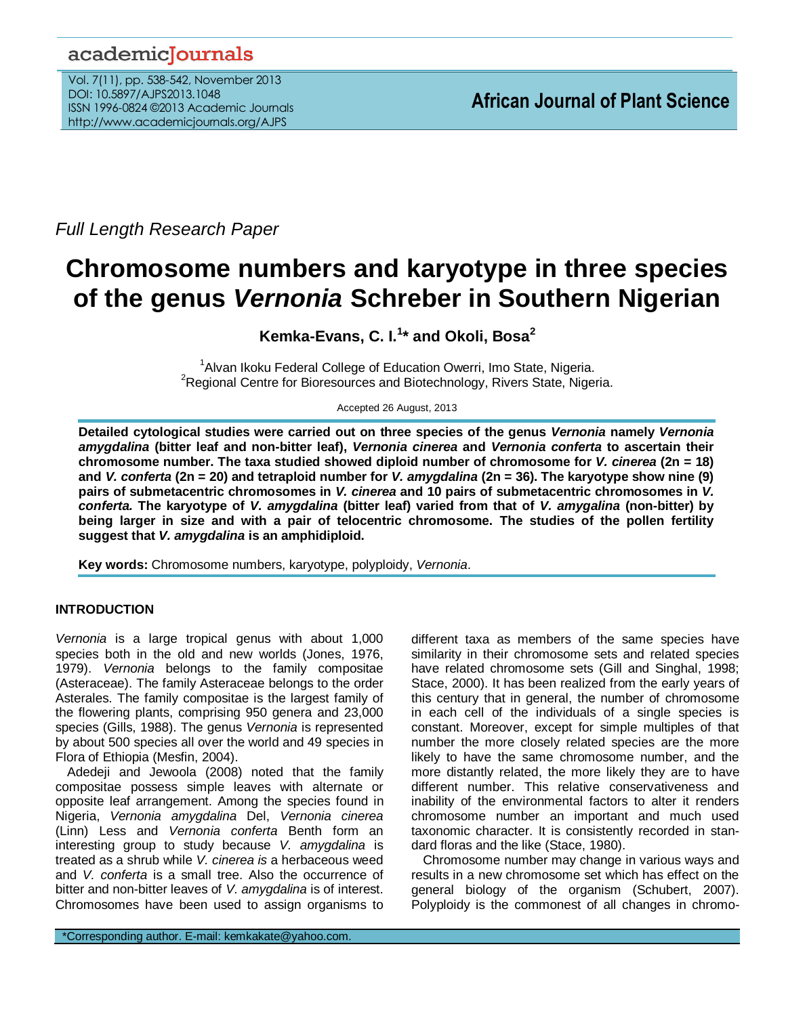# academicJournals

Vol. 7(11), pp. 538-542, November 2013 DOI: 10.5897/AJPS2013.1048 ISSN 1996-0824 ©2013 Academic Journals http://www.academicjournals.org/AJPS

*Full Length Research Paper*

# **Chromosome numbers and karyotype in three species of the genus** *Vernonia* **Schreber in Southern Nigerian**

**Kemka-Evans, C. I.<sup>1</sup> \* and Okoli, Bosa<sup>2</sup>**

<sup>1</sup> Alvan Ikoku Federal College of Education Owerri, Imo State, Nigeria. <sup>2</sup>Regional Centre for Bioresources and Biotechnology, Rivers State, Nigeria.

Accepted 26 August, 2013

**Detailed cytological studies were carried out on three species of the genus** *Vernonia* **namely** *Vernonia amygdalina* **(bitter leaf and non-bitter leaf),** *Vernonia cinerea* **and** *Vernonia conferta* **to ascertain their chromosome number. The taxa studied showed diploid number of chromosome for** *V. cinerea* **(2n = 18) and** *V. conferta* **(2n = 20) and tetraploid number for** *V. amygdalina* **(2n = 36). The karyotype show nine (9) pairs of submetacentric chromosomes in** *V. cinerea* **and 10 pairs of submetacentric chromosomes in** *V. conferta.* **The karyotype of** *V. amygdalina* **(bitter leaf) varied from that of** *V. amygalina* **(non-bitter) by being larger in size and with a pair of telocentric chromosome. The studies of the pollen fertility suggest that** *V. amygdalina* **is an amphidiploid.**

**Key words:** Chromosome numbers, karyotype, polyploidy, *Vernonia*.

# **INTRODUCTION**

*Vernonia* is a large tropical genus with about 1,000 species both in the old and new worlds (Jones, 1976, 1979). *Vernonia* belongs to the family compositae (Asteraceae). The family Asteraceae belongs to the order Asterales. The family compositae is the largest family of the flowering plants, comprising 950 genera and 23,000 species (Gills, 1988). The genus *Vernonia* is represented by about 500 species all over the world and 49 species in Flora of Ethiopia (Mesfin, 2004).

Adedeji and Jewoola (2008) noted that the family compositae possess simple leaves with alternate or opposite leaf arrangement. Among the species found in Nigeria, *Vernonia amygdalina* Del, *Vernonia cinerea* (Linn) Less and *Vernonia conferta* Benth form an interesting group to study because *V. amygdalina* is treated as a shrub while *V. cinerea is* a herbaceous weed and *V. conferta* is a small tree. Also the occurrence of bitter and non-bitter leaves of *V. amygdalina* is of interest. Chromosomes have been used to assign organisms to different taxa as members of the same species have similarity in their chromosome sets and related species have related chromosome sets (Gill and Singhal, 1998; Stace, 2000). It has been realized from the early years of this century that in general, the number of chromosome in each cell of the individuals of a single species is constant. Moreover, except for simple multiples of that number the more closely related species are the more likely to have the same chromosome number, and the more distantly related, the more likely they are to have different number. This relative conservativeness and inability of the environmental factors to alter it renders chromosome number an important and much used taxonomic character. It is consistently recorded in standard floras and the like (Stace, 1980).

Chromosome number may change in various ways and results in a new chromosome set which has effect on the general biology of the organism (Schubert, 2007). Polyploidy is the commonest of all changes in chromo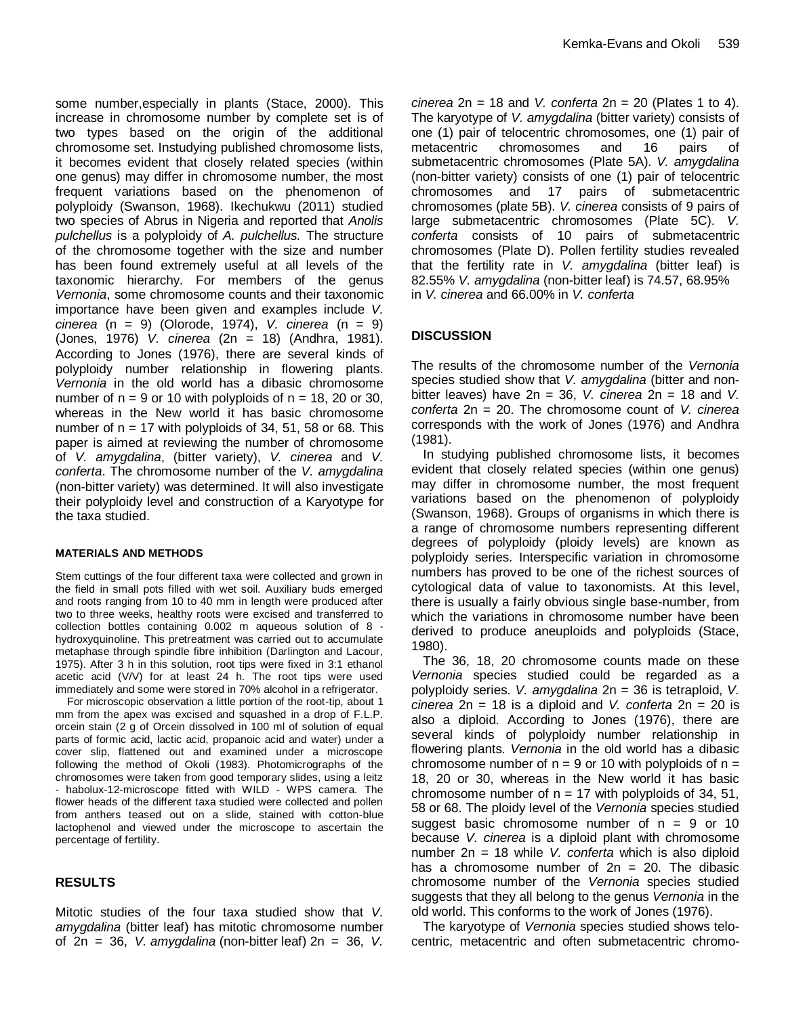some number,especially in plants (Stace, 2000). This increase in chromosome number by complete set is of two types based on the origin of the additional chromosome set. Instudying published chromosome lists, it becomes evident that closely related species (within one genus) may differ in chromosome number, the most frequent variations based on the phenomenon of polyploidy (Swanson, 1968). Ikechukwu (2011) studied two species of Abrus in Nigeria and reported that *Anolis pulchellus* is a polyploidy of *A. pulchellus.* The structure of the chromosome together with the size and number has been found extremely useful at all levels of the taxonomic hierarchy. For members of the genus *Vernonia*, some chromosome counts and their taxonomic importance have been given and examples include *V. cinerea* (n = 9) (Olorode, 1974), *V. cinerea* (n = 9) (Jones, 1976) *V. cinerea* (2n = 18) (Andhra, 1981). According to Jones (1976), there are several kinds of polyploidy number relationship in flowering plants. *Vernonia* in the old world has a dibasic chromosome number of  $n = 9$  or 10 with polyploids of  $n = 18$ , 20 or 30, whereas in the New world it has basic chromosome number of  $n = 17$  with polyploids of 34, 51, 58 or 68. This paper is aimed at reviewing the number of chromosome of *V. amygdalina*, (bitter variety), *V. cinerea* and *V. conferta*. The chromosome number of the *V. amygdalina* (non-bitter variety) was determined. It will also investigate their polyploidy level and construction of a Karyotype for the taxa studied.

#### **MATERIALS AND METHODS**

Stem cuttings of the four different taxa were collected and grown in the field in small pots filled with wet soil. Auxiliary buds emerged and roots ranging from 10 to 40 mm in length were produced after two to three weeks, healthy roots were excised and transferred to collection bottles containing 0.002 m aqueous solution of 8 hydroxyquinoline. This pretreatment was carried out to accumulate metaphase through spindle fibre inhibition (Darlington and Lacour, 1975). After 3 h in this solution, root tips were fixed in 3:1 ethanol acetic acid (V/V) for at least 24 h. The root tips were used immediately and some were stored in 70% alcohol in a refrigerator.

For microscopic observation a little portion of the root-tip, about 1 mm from the apex was excised and squashed in a drop of F.L.P. orcein stain (2 g of Orcein dissolved in 100 ml of solution of equal parts of formic acid, lactic acid, propanoic acid and water) under a cover slip, flattened out and examined under a microscope following the method of Okoli (1983). Photomicrographs of the chromosomes were taken from good temporary slides, using a leitz - habolux-12-microscope fitted with WILD - WPS camera. The flower heads of the different taxa studied were collected and pollen from anthers teased out on a slide, stained with cotton-blue lactophenol and viewed under the microscope to ascertain the percentage of fertility.

### **RESULTS**

Mitotic studies of the four taxa studied show that *V. amygdalina* (bitter leaf) has mitotic chromosome number of 2n = 36, *V. amygdalina* (non-bitter leaf) 2n = 36, *V.*  *cinerea* 2n = 18 and *V. conferta* 2n = 20 (Plates 1 to 4). The karyotype of *V. amygdalina* (bitter variety) consists of one (1) pair of telocentric chromosomes, one (1) pair of metacentric chromosomes and 16 pairs of submetacentric chromosomes (Plate 5A). *V. amygdalina* (non-bitter variety) consists of one (1) pair of telocentric chromosomes and 17 pairs of submetacentric chromosomes (plate 5B). *V. cinerea* consists of 9 pairs of large submetacentric chromosomes (Plate 5C). *V. conferta* consists of 10 pairs of submetacentric chromosomes (Plate D). Pollen fertility studies revealed that the fertility rate in *V. amygdalina* (bitter leaf) is 82.55% *V. amygdalina* (non-bitter leaf) is 74.57, 68.95% in *V. cinerea* and 66.00% in *V. conferta*

# **DISCUSSION**

The results of the chromosome number of the *Vernonia*  species studied show that *V. amygdalina* (bitter and nonbitter leaves) have 2n = 36, *V. cinerea* 2n = 18 and *V. conferta* 2n = 20. The chromosome count of *V. cinerea* corresponds with the work of Jones (1976) and Andhra (1981).

In studying published chromosome lists, it becomes evident that closely related species (within one genus) may differ in chromosome number, the most frequent variations based on the phenomenon of polyploidy (Swanson, 1968). Groups of organisms in which there is a range of chromosome numbers representing different degrees of polyploidy (ploidy levels) are known as polyploidy series. Interspecific variation in chromosome numbers has proved to be one of the richest sources of cytological data of value to taxonomists. At this level, there is usually a fairly obvious single base-number, from which the variations in chromosome number have been derived to produce aneuploids and polyploids (Stace, 1980).

The 36, 18, 20 chromosome counts made on these *Vernonia* species studied could be regarded as a polyploidy series. *V. amygdalina* 2n = 36 is tetraploid, *V. cinerea* 2n = 18 is a diploid and *V. conferta* 2n = 20 is also a diploid. According to Jones (1976), there are several kinds of polyploidy number relationship in flowering plants. *Vernonia* in the old world has a dibasic chromosome number of  $n = 9$  or 10 with polyploids of  $n =$ 18, 20 or 30, whereas in the New world it has basic chromosome number of  $n = 17$  with polyploids of 34, 51, 58 or 68. The ploidy level of the *Vernonia* species studied suggest basic chromosome number of  $n = 9$  or 10 because *V. cinerea* is a diploid plant with chromosome number 2n = 18 while *V. conferta* which is also diploid has a chromosome number of  $2n = 20$ . The dibasic chromosome number of the *Vernonia* species studied suggests that they all belong to the genus *Vernonia* in the old world. This conforms to the work of Jones (1976).

The karyotype of *Vernonia* species studied shows telocentric, metacentric and often submetacentric chromo-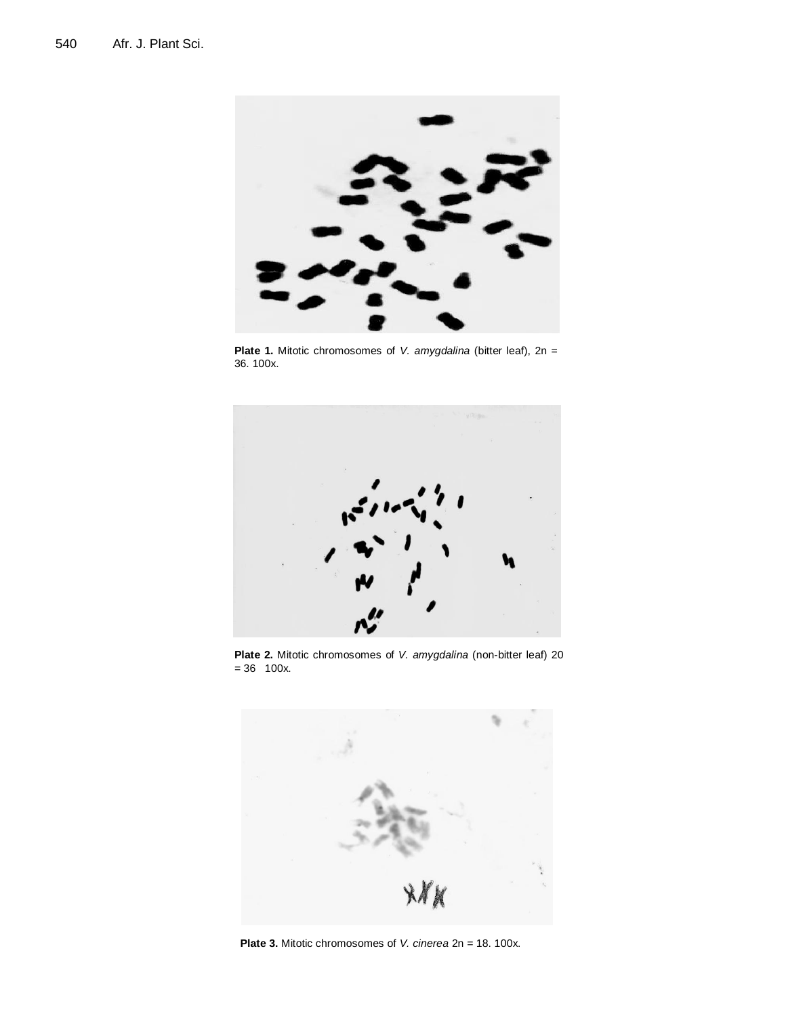

**Plate 1.** Mitotic chromosomes of *V. amygdalina* (bitter leaf), 2n = 36. 100x.



**Plate 2.** Mitotic chromosomes of *V. amygdalina* (non-bitter leaf) 20  $= 36$  100x.



**Plate 3.** Mitotic chromosomes of *V. cinerea* 2n = 18. 100x.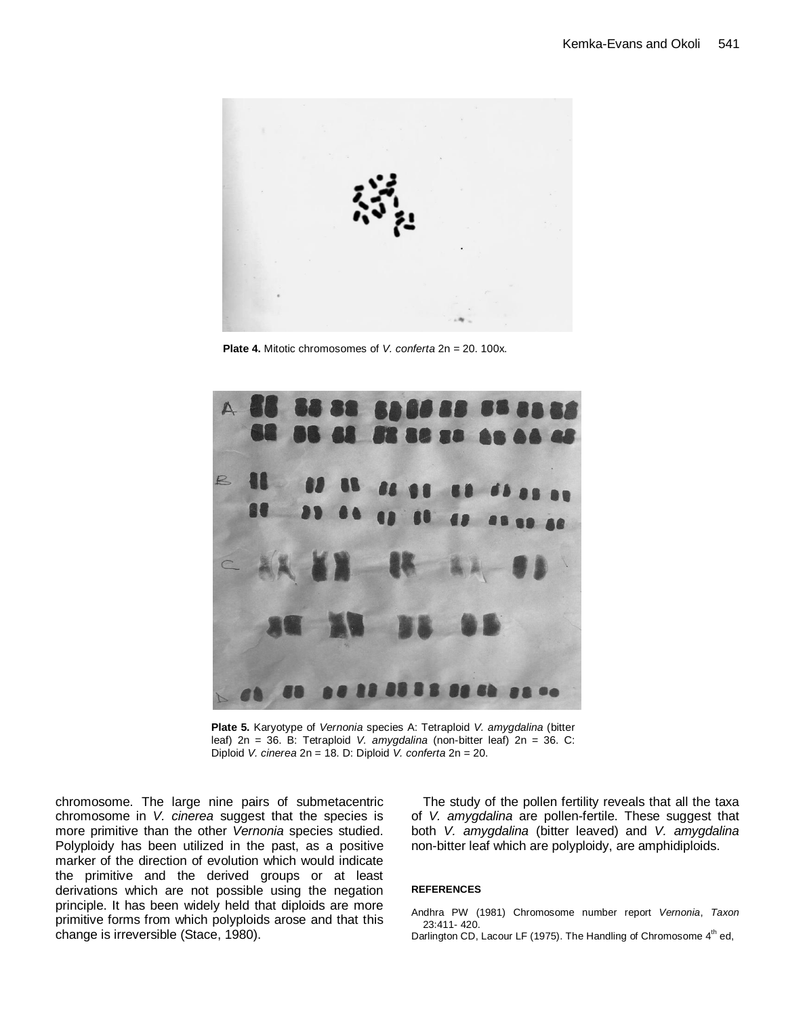

**Plate 4.** Mitotic chromosomes of *V. conferta* 2n = 20. 100x.



**Plate 5.** Karyotype of *Vernonia* species A: Tetraploid *V. amygdalina* (bitter leaf) 2n = 36. B: Tetraploid *V. amygdalina* (non-bitter leaf) 2n = 36. C: Diploid *V. cinerea* 2n = 18. D: Diploid *V. conferta* 2n = 20.

chromosome. The large nine pairs of submetacentric chromosome in *V. cinerea* suggest that the species is more primitive than the other *Vernonia* species studied. Polyploidy has been utilized in the past, as a positive marker of the direction of evolution which would indicate the primitive and the derived groups or at least derivations which are not possible using the negation principle. It has been widely held that diploids are more primitive forms from which polyploids arose and that this change is irreversible (Stace, 1980).

The study of the pollen fertility reveals that all the taxa of *V. amygdalina* are pollen-fertile. These suggest that both *V. amygdalina* (bitter leaved) and *V. amygdalina* non-bitter leaf which are polyploidy, are amphidiploids.

#### **REFERENCES**

Andhra PW (1981) Chromosome number report *Vernonia*, *Taxon* 23:411- 420.

Darlington CD, Lacour LF (1975). The Handling of Chromosome  $4<sup>th</sup>$  ed,